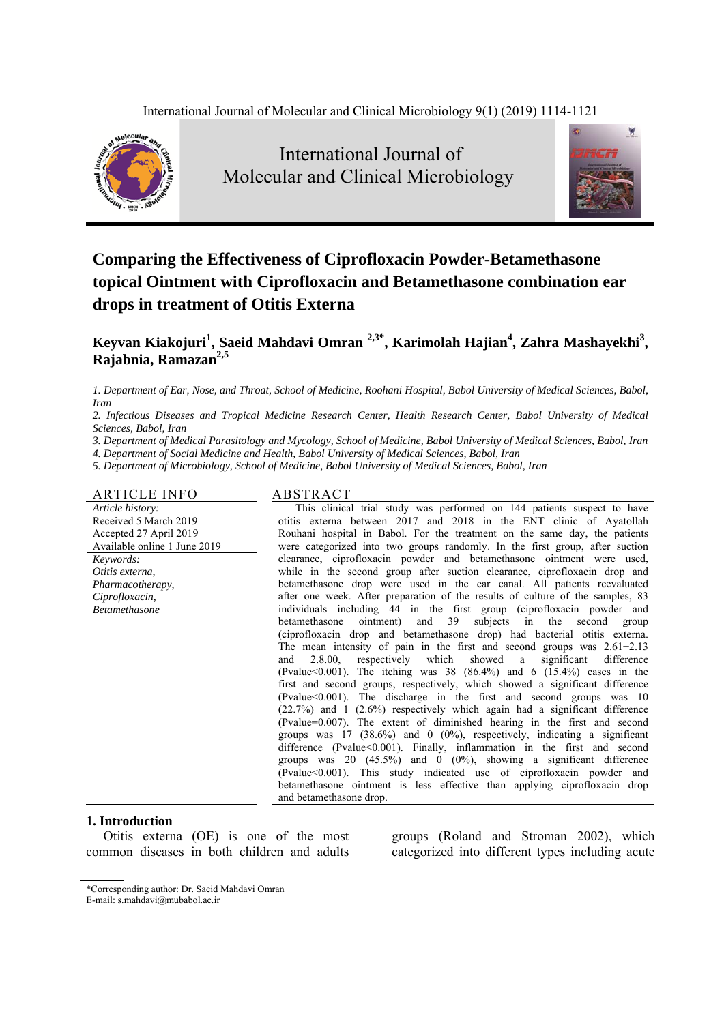

 International Journal of Molecular and Clinical Microbiology



# **Comparing the Effectiveness of Ciprofloxacin Powder-Betamethasone topical Ointment with Ciprofloxacin and Betamethasone combination ear drops in treatment of Otitis Externa**

# **Keyvan Kiakojuri<sup>1</sup> , Saeid Mahdavi Omran 2,3\*, Karimolah Hajian4 , Zahra Mashayekhi<sup>3</sup> , Rajabnia, Ramazan2,5**

*1. Department of Ear, Nose, and Throat, School of Medicine, Roohani Hospital, Babol University of Medical Sciences, Babol, Iran* 

*2. Infectious Diseases and Tropical Medicine Research Center, Health Research Center, Babol University of Medical Sciences, Babol, Iran* 

*3. Department of Medical Parasitology and Mycology, School of Medicine, Babol University of Medical Sciences, Babol, Iran* 

*4. Department of Social Medicine and Health, Babol University of Medical Sciences, Babol, Iran* 

*5. Department of Microbiology, School of Medicine, Babol University of Medical Sciences, Babol, Iran*

#### ARTICLE INFO ABSTRACT

*Article history:*  Received 5 March 2019 Accepted 27 April 2019 Available online 1 June 2019 *Keywords: Otitis externa, Pharmacotherapy, Ciprofloxacin, Betamethasone* 

This clinical trial study was performed on 144 patients suspect to have otitis externa between 2017 and 2018 in the ENT clinic of Ayatollah Rouhani hospital in Babol. For the treatment on the same day, the patients were categorized into two groups randomly. In the first group, after suction clearance, ciprofloxacin powder and betamethasone ointment were used, while in the second group after suction clearance, ciprofloxacin drop and betamethasone drop were used in the ear canal. All patients reevaluated after one week. After preparation of the results of culture of the samples, 83 individuals including 44 in the first group (ciprofloxacin powder and betamethasone ointment) and 39 subjects in the second group (ciprofloxacin drop and betamethasone drop) had bacterial otitis externa. The mean intensity of pain in the first and second groups was  $2.61 \pm 2.13$  and  $2.8.00$ , respectively which showed a significant difference and 2.8.00, respectively which showed a significant difference (Pvalue $<0.001$ ). The itching was 38 (86.4%) and 6 (15.4%) cases in the first and second groups, respectively, which showed a significant difference (Pvalue<0.001). The discharge in the first and second groups was 10  $(22.7%)$  and 1  $(2.6%)$  respectively which again had a significant difference (Pvalue=0.007). The extent of diminished hearing in the first and second groups was 17 (38.6%) and 0 (0%), respectively, indicating a significant difference (Pvalue<0.001). Finally, inflammation in the first and second groups was 20  $(45.5\%)$  and 0  $(0\%)$ , showing a significant difference (Pvalue<0.001). This study indicated use of ciprofloxacin powder and betamethasone ointment is less effective than applying ciprofloxacin drop and betamethasone drop.

#### **1. Introduction**

Otitis externa (OE) is one of the most common diseases in both children and adults

groups (Roland and Stroman 2002), which categorized into different types including acute

<sup>\*</sup>Corresponding author: Dr. Saeid Mahdavi Omran E-mail: s.mahdavi@mubabol.ac.ir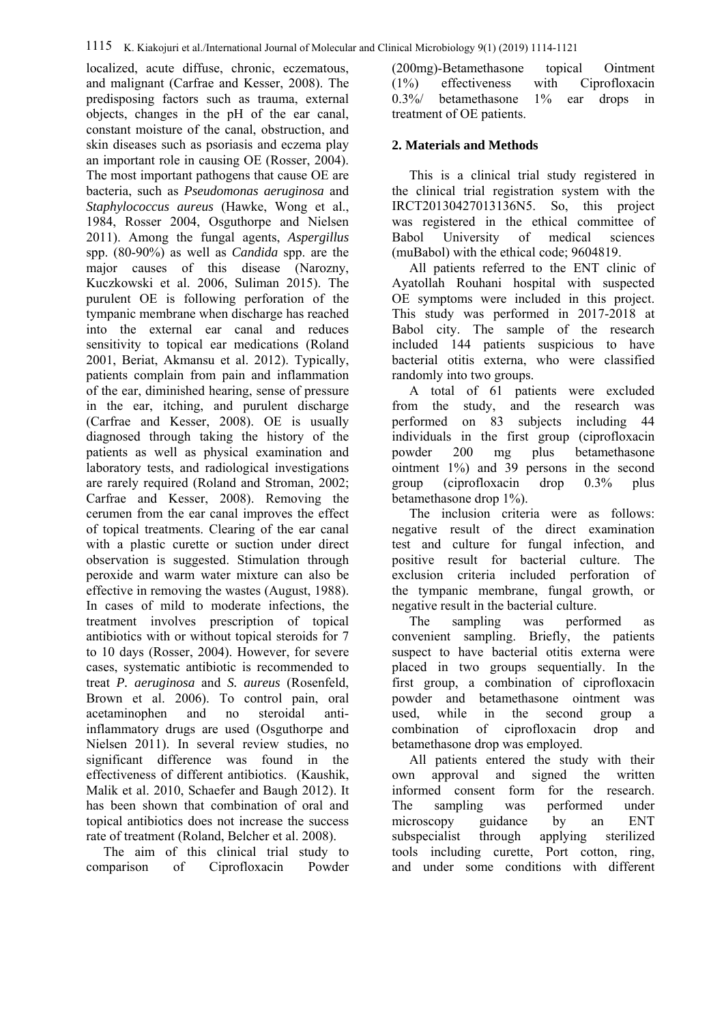localized, acute diffuse, chronic, eczematous, and malignant (Carfrae and Kesser, 2008). The predisposing factors such as trauma, external objects, changes in the pH of the ear canal, constant moisture of the canal, obstruction, and skin diseases such as psoriasis and eczema play an important role in causing OE (Rosser, 2004). The most important pathogens that cause OE are bacteria, such as *Pseudomonas aeruginosa* and *Staphylococcus aureus* (Hawke, Wong et al., 1984, Rosser 2004, Osguthorpe and Nielsen 2011). Among the fungal agents, *Aspergillus* spp. (80-90%) as well as *Candida* spp. are the major causes of this disease (Narozny, Kuczkowski et al. 2006, Suliman 2015). The purulent OE is following perforation of the tympanic membrane when discharge has reached into the external ear canal and reduces sensitivity to topical ear medications (Roland 2001, Beriat, Akmansu et al. 2012). Typically, patients complain from pain and inflammation of the ear, diminished hearing, sense of pressure in the ear, itching, and purulent discharge (Carfrae and Kesser, 2008). OE is usually diagnosed through taking the history of the patients as well as physical examination and laboratory tests, and radiological investigations are rarely required (Roland and Stroman, 2002; Carfrae and Kesser, 2008). Removing the cerumen from the ear canal improves the effect of topical treatments. Clearing of the ear canal with a plastic curette or suction under direct observation is suggested. Stimulation through peroxide and warm water mixture can also be effective in removing the wastes (August, 1988). In cases of mild to moderate infections, the treatment involves prescription of topical antibiotics with or without topical steroids for 7 to 10 days (Rosser, 2004). However, for severe cases, systematic antibiotic is recommended to treat *P. aeruginosa* and *S. aureus* (Rosenfeld, Brown et al. 2006). To control pain, oral acetaminophen and no steroidal antiinflammatory drugs are used (Osguthorpe and Nielsen 2011). In several review studies, no significant difference was found in the effectiveness of different antibiotics. (Kaushik, Malik et al. 2010, Schaefer and Baugh 2012). It has been shown that combination of oral and topical antibiotics does not increase the success rate of treatment (Roland, Belcher et al. 2008).

The aim of this clinical trial study to comparison of Ciprofloxacin Powder

(200mg)-Betamethasone topical Ointment (1%) effectiveness with Ciprofloxacin 0.3%/ betamethasone 1% ear drops in treatment of OE patients.

#### **2. Materials and Methods**

This is a clinical trial study registered in the clinical trial registration system with the IRCT20130427013136N5. So, this project was registered in the ethical committee of Babol University of medical sciences (muBabol) with the ethical code; 9604819.

All patients referred to the ENT clinic of Ayatollah Rouhani hospital with suspected OE symptoms were included in this project. This study was performed in 2017-2018 at Babol city. The sample of the research included 144 patients suspicious to have bacterial otitis externa, who were classified randomly into two groups.

A total of 61 patients were excluded from the study, and the research was performed on 83 subjects including 44 individuals in the first group (ciprofloxacin powder 200 mg plus betamethasone ointment 1%) and 39 persons in the second group (ciprofloxacin drop 0.3% plus betamethasone drop 1%).

The inclusion criteria were as follows: negative result of the direct examination test and culture for fungal infection, and positive result for bacterial culture. The exclusion criteria included perforation of the tympanic membrane, fungal growth, or negative result in the bacterial culture.

The sampling was performed as convenient sampling. Briefly, the patients suspect to have bacterial otitis externa were placed in two groups sequentially. In the first group, a combination of ciprofloxacin powder and betamethasone ointment was used, while in the second group a combination of ciprofloxacin drop and betamethasone drop was employed.

All patients entered the study with their own approval and signed the written informed consent form for the research. The sampling was performed under microscopy guidance by an ENT subspecialist through applying sterilized tools including curette, Port cotton, ring, and under some conditions with different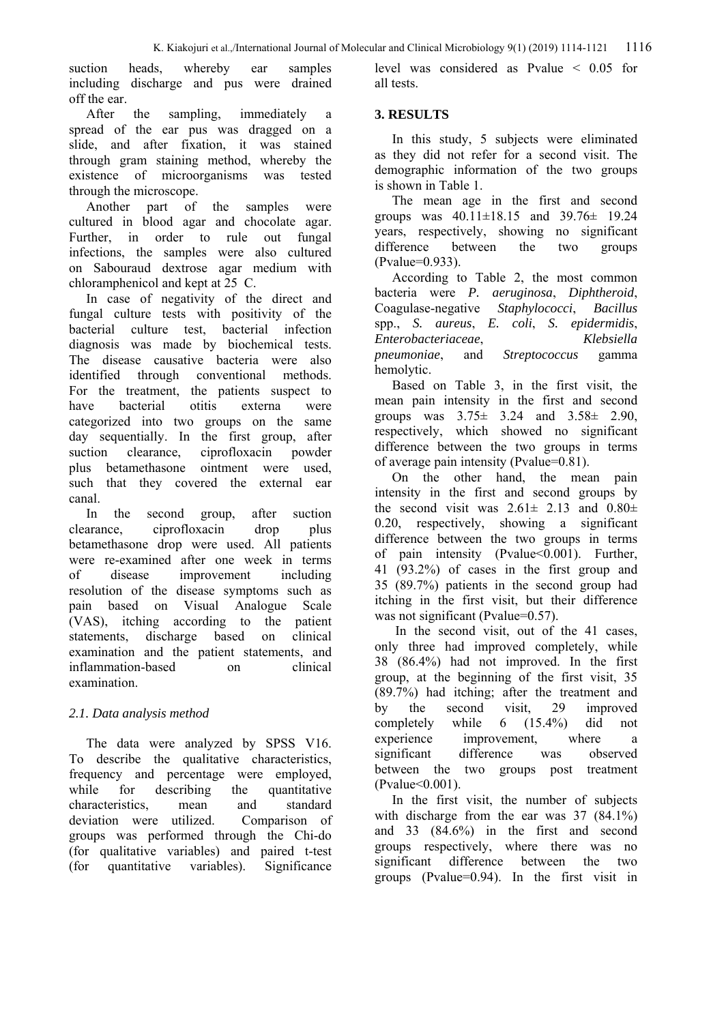suction heads, whereby ear samples including discharge and pus were drained off the ear.

After the sampling, immediately a spread of the ear pus was dragged on a slide, and after fixation, it was stained through gram staining method, whereby the existence of microorganisms was tested through the microscope.

Another part of the samples were cultured in blood agar and chocolate agar. Further, in order to rule out fungal infections, the samples were also cultured on Sabouraud dextrose agar medium with chloramphenicol and kept at 25 C.

In case of negativity of the direct and fungal culture tests with positivity of the bacterial culture test, bacterial infection diagnosis was made by biochemical tests. The disease causative bacteria were also identified through conventional methods. For the treatment, the patients suspect to have bacterial otitis externa were categorized into two groups on the same day sequentially. In the first group, after suction clearance, ciprofloxacin powder plus betamethasone ointment were used, such that they covered the external ear canal.

In the second group, after suction clearance, ciprofloxacin drop plus betamethasone drop were used. All patients were re-examined after one week in terms of disease improvement including resolution of the disease symptoms such as pain based on Visual Analogue Scale (VAS), itching according to the patient statements, discharge based on clinical examination and the patient statements, and inflammation-based on clinical examination.

## *2.1. Data analysis method*

The data were analyzed by SPSS V16. To describe the qualitative characteristics, frequency and percentage were employed, while for describing the quantitative characteristics, mean and standard deviation were utilized. Comparison of groups was performed through the Chi-do (for qualitative variables) and paired t-test (for quantitative variables). Significance

level was considered as Pvalue < 0.05 for all tests.

## **3. RESULTS**

In this study, 5 subjects were eliminated as they did not refer for a second visit. The demographic information of the two groups is shown in Table 1.

The mean age in the first and second groups was 40.11±18.15 and 39.76± 19.24 years, respectively, showing no significant difference between the two groups (Pvalue=0.933).

According to Table 2, the most common bacteria were *P. aeruginosa*, *Diphtheroid*, Coagulase-negative *Staphylococci*, *Bacillus* spp., *S. aureus*, *E. coli*, *S. epidermidis*, *Enterobacteriaceae*, *Klebsiella pneumoniae*, and *Streptococcus* gamma hemolytic.

Based on Table 3, in the first visit, the mean pain intensity in the first and second groups was 3.75± 3.24 and 3.58± 2.90, respectively, which showed no significant difference between the two groups in terms of average pain intensity (Pvalue=0.81).

On the other hand, the mean pain intensity in the first and second groups by the second visit was  $2.61 \pm 2.13$  and  $0.80 \pm 1.6$ 0.20, respectively, showing a significant difference between the two groups in terms of pain intensity (Pvalue < 0.001). Further, 41 (93.2%) of cases in the first group and 35 (89.7%) patients in the second group had itching in the first visit, but their difference was not significant (Pvalue=0.57).

 In the second visit, out of the 41 cases, only three had improved completely, while 38 (86.4%) had not improved. In the first group, at the beginning of the first visit, 35 (89.7%) had itching; after the treatment and by the second visit, 29 improved completely while 6 (15.4%) did not experience improvement, where a significant difference was observed between the two groups post treatment (Pvalue<0.001).

In the first visit, the number of subjects with discharge from the ear was 37 (84.1%) and 33 (84.6%) in the first and second groups respectively, where there was no significant difference between the two groups (Pvalue=0.94). In the first visit in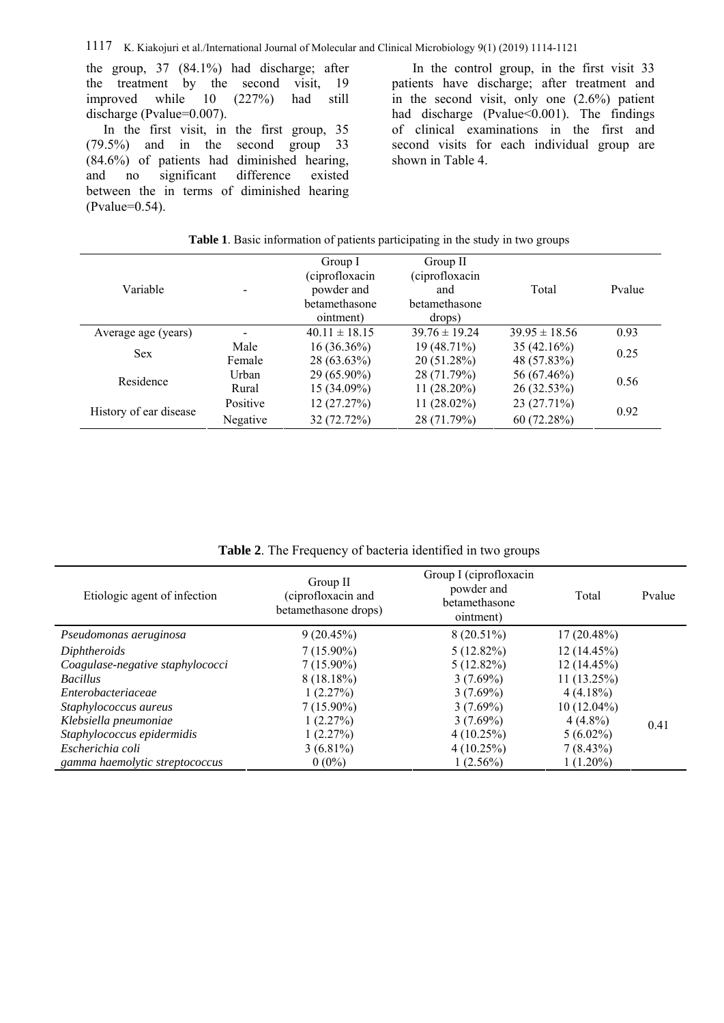the group, 37 (84.1%) had discharge; after the treatment by the second visit, 19 improved while 10 (227%) had still discharge (Pvalue=0.007).

In the first visit, in the first group, 35 (79.5%) and in the second group 33 (84.6%) of patients had diminished hearing, and no significant difference existed between the in terms of diminished hearing (Pvalue=0.54).

 In the control group, in the first visit 33 patients have discharge; after treatment and in the second visit, only one (2.6%) patient had discharge (Pvalue<0.001). The findings of clinical examinations in the first and second visits for each individual group are shown in Table 4.

| Variable               |          | Group I<br>(ciprofloxacin<br>powder and<br>betamethasone<br>ointment) | Group II<br>(ciprofloxacin<br>and<br>betamethasone<br>drops) | Total             | Pvalue |  |
|------------------------|----------|-----------------------------------------------------------------------|--------------------------------------------------------------|-------------------|--------|--|
| Average age (years)    |          | $40.11 \pm 18.15$                                                     | $39.76 \pm 19.24$                                            | $39.95 \pm 18.56$ | 0.93   |  |
| <b>Sex</b>             | Male     | $16(36.36\%)$                                                         | $19(48.71\%)$                                                | 35(42.16%)        | 0.25   |  |
|                        | Female   | $28(63.63\%)$                                                         | 20 (51.28%)                                                  | 48 (57.83%)       |        |  |
| Residence              | Urban    | $29(65.90\%)$                                                         | 28 (71.79%)                                                  | 56 (67.46%)       | 0.56   |  |
|                        | Rural    | $15(34.09\%)$                                                         | $11(28.20\%)$                                                | 26 (32.53%)       |        |  |
| History of ear disease | Positive | 12 (27.27%)                                                           | $11(28.02\%)$                                                | 23 (27.71%)       |        |  |
|                        | Negative | 32 (72.72%)                                                           | 28 (71.79%)                                                  | 60(72.28%)        | 0.92   |  |

**Table 1**. Basic information of patients participating in the study in two groups

**Table 2**. The Frequency of bacteria identified in two groups

| Etiologic agent of infection     | Group II<br>(ciprofloxacin and<br>betamethasone drops) | Group I (ciprofloxacin<br>powder and<br>betamethasone<br>ointment) | Total         | Pvalue |
|----------------------------------|--------------------------------------------------------|--------------------------------------------------------------------|---------------|--------|
| Pseudomonas aeruginosa           | 9(20.45%)                                              | $8(20.51\%)$                                                       | $17(20.48\%)$ |        |
| Diphtheroids                     | $7(15.90\%)$                                           | $5(12.82\%)$                                                       | 12(14.45%)    |        |
| Coagulase-negative staphylococci | $7(15.90\%)$                                           | $5(12.82\%)$                                                       | 12(14.45%)    |        |
| <b>Bacillus</b>                  | 8(18.18%)                                              | $3(7.69\%)$                                                        | $11(13.25\%)$ |        |
| Enterobacteriaceae               | 1(2.27%)                                               | $3(7.69\%)$                                                        | $4(4.18\%)$   |        |
| Staphylococcus aureus            | $7(15.90\%)$                                           | $3(7.69\%)$                                                        | $10(12.04\%)$ |        |
| Klebsiella pneumoniae            | 1(2.27%)                                               | $3(7.69\%)$                                                        | $4(4.8\%)$    | 0.41   |
| Staphylococcus epidermidis       | 1(2.27%)                                               | 4(10.25%)                                                          | $5(6.02\%)$   |        |
| Escherichia coli                 | $3(6.81\%)$                                            | 4(10.25%)                                                          | 7(8.43%)      |        |
| gamma haemolytic streptococcus   | $0(0\%)$                                               | $(2.56\%)$                                                         | $1(1.20\%)$   |        |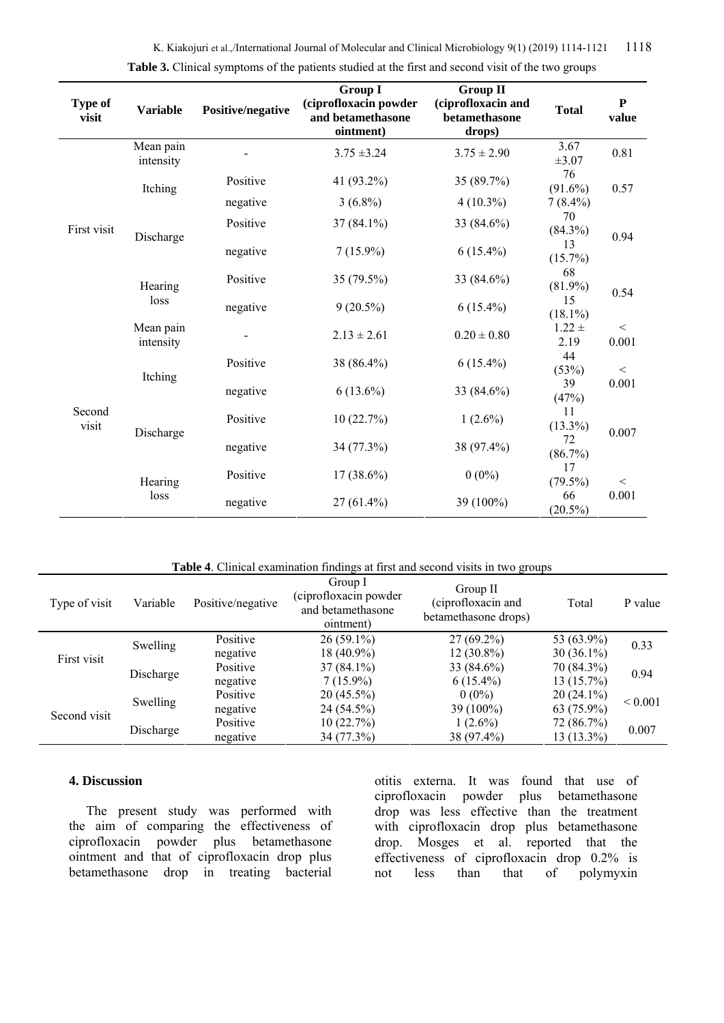K. Kiakojuri et al.,/International Journal of Molecular and Clinical Microbiology 9(1) (2019) 1114-1121 1118

| <b>Type of</b><br>visit | <b>Variable</b>        | Positive/negative | <b>Group I</b><br>(ciprofloxacin powder<br>and betamethasone<br>ointment) | <b>Group II</b><br>(ciprofloxacin and<br>betamethasone<br>drops) | <b>Total</b>           | ${\bf P}$<br>value |  |
|-------------------------|------------------------|-------------------|---------------------------------------------------------------------------|------------------------------------------------------------------|------------------------|--------------------|--|
|                         | Mean pain<br>intensity |                   | $3.75 \pm 3.24$                                                           | $3.75 \pm 2.90$                                                  | 3.67<br>$\pm 3.07$     | 0.81               |  |
|                         | Itching                | Positive          | 41 (93.2%)                                                                | 35 (89.7%)                                                       | 76<br>$(91.6\%)$       | 0.57               |  |
|                         |                        | negative          | $3(6.8\%)$                                                                | $4(10.3\%)$                                                      | $7(8.4\%)$             |                    |  |
| First visit             | Discharge              | Positive          | $37(84.1\%)$                                                              | 33 (84.6%)                                                       | 70<br>$(84.3\%)$<br>13 | 0.94               |  |
|                         |                        | negative          | $7(15.9\%)$                                                               | $6(15.4\%)$                                                      |                        |                    |  |
|                         | Hearing<br>loss        | Positive          | 35 (79.5%)                                                                | 33 (84.6%)                                                       | 68<br>$(81.9\%)$       | 0.54               |  |
|                         |                        | negative          | $9(20.5\%)$                                                               | $6(15.4\%)$                                                      | 15<br>$(18.1\%)$       |                    |  |
| Second<br>visit         | Mean pain<br>intensity |                   | $2.13 \pm 2.61$                                                           | $0.20 \pm 0.80$                                                  | $1.22 \pm$<br>2.19     | $\,<$<br>0.001     |  |
|                         | Itching                | Positive          | 38 (86.4%)                                                                | $6(15.4\%)$                                                      | 44<br>(53%)            | $\,<$              |  |
|                         |                        | negative          | $6(13.6\%)$                                                               | 33 (84.6%)                                                       | 39<br>(47%)            | 0.001<br>0.007     |  |
|                         |                        | Positive          | 10(22.7%)                                                                 | $1(2.6\%)$                                                       | 11<br>$(13.3\%)$       |                    |  |
|                         | Discharge              | negative          | 34 (77.3%)                                                                | 38 (97.4%)                                                       | 72<br>(86.7%)          |                    |  |
|                         | Hearing                | Positive          | $17(38.6\%)$                                                              | $0(0\%)$                                                         | 17<br>$(79.5\%)$       | $\,<$              |  |
|                         | loss                   | negative          | $27(61.4\%)$                                                              | 39 (100%)                                                        | 66<br>$(20.5\%)$       | 0.001              |  |

|  | Table 3. Clinical symptoms of the patients studied at the first and second visit of the two groups |  |  |  |  |  |
|--|----------------------------------------------------------------------------------------------------|--|--|--|--|--|
|  |                                                                                                    |  |  |  |  |  |

**Table 4**. Clinical examination findings at first and second visits in two groups

| Type of visit | Variable  | Positive/negative | Group I<br>(ciprofloxacin powder)<br>and betamethasone<br>ointment) | Group II<br>(ciprofloxacin and<br>betamethasone drops) | Total        | P value      |  |
|---------------|-----------|-------------------|---------------------------------------------------------------------|--------------------------------------------------------|--------------|--------------|--|
| First visit   | Swelling  | Positive          | $26(59.1\%)$                                                        | $27(69.2\%)$                                           | 53 (63.9%)   | 0.33         |  |
|               |           | negative          | $18(40.9\%)$                                                        | $12(30.8\%)$                                           | $30(36.1\%)$ |              |  |
|               | Discharge | Positive          | $37(84.1\%)$                                                        | 33 (84.6%)                                             | 70 (84.3%)   | 0.94         |  |
|               |           | negative          | $7(15.9\%)$                                                         | $6(15.4\%)$                                            | $13(15.7\%)$ |              |  |
| Second visit  | Swelling  | Positive          | $20(45.5\%)$                                                        | $0(0\%)$                                               | $20(24.1\%)$ | ${}_{0.001}$ |  |
|               |           | negative          | 24 (54.5%)                                                          | 39 (100%)                                              | 63 (75.9%)   |              |  |
|               | Discharge | Positive          | 10(22.7%)                                                           | $1(2.6\%)$                                             | 72 (86.7%)   |              |  |
|               |           | negative          | 34 (77.3%)                                                          | 38 (97.4%)                                             | $13(13.3\%)$ | 0.007        |  |

#### **4. Discussion**

The present study was performed with the aim of comparing the effectiveness of ciprofloxacin powder plus betamethasone ointment and that of ciprofloxacin drop plus betamethasone drop in treating bacterial

otitis externa. It was found that use of ciprofloxacin powder plus betamethasone drop was less effective than the treatment with ciprofloxacin drop plus betamethasone drop. Mosges et al. reported that the effectiveness of ciprofloxacin drop 0.2% is not less than that of polymyxin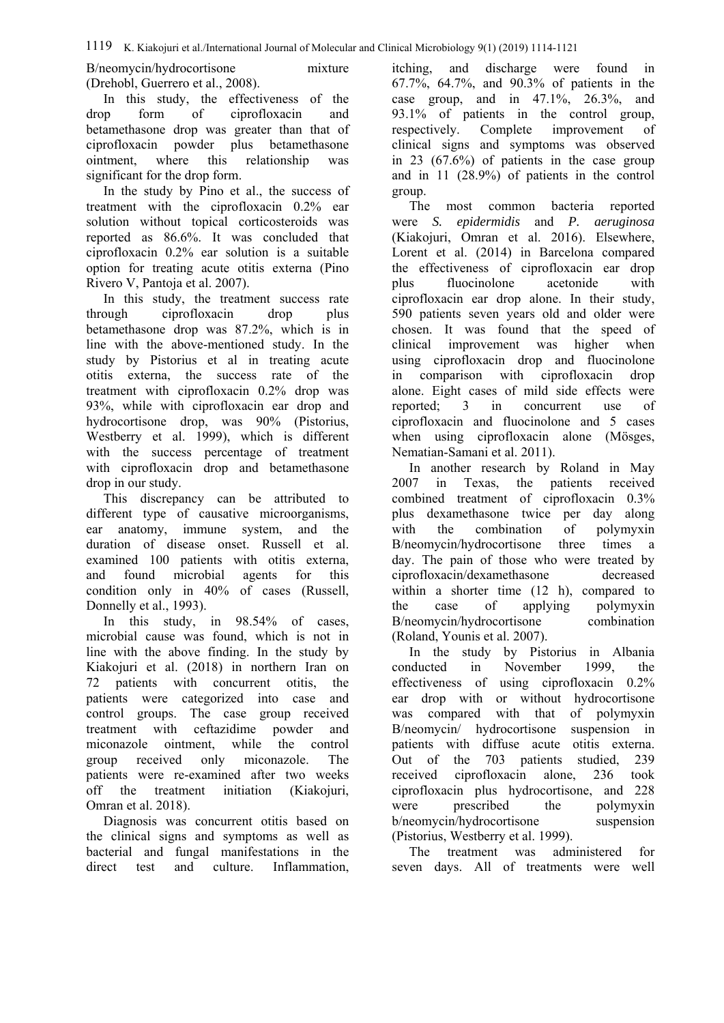B/neomycin/hydrocortisone mixture (Drehobl, Guerrero et al., 2008).

In this study, the effectiveness of the drop form of ciprofloxacin and betamethasone drop was greater than that of ciprofloxacin powder plus betamethasone ointment, where this relationship was significant for the drop form.

In the study by Pino et al., the success of treatment with the ciprofloxacin 0.2% ear solution without topical corticosteroids was reported as 86.6%. It was concluded that ciprofloxacin 0.2% ear solution is a suitable option for treating acute otitis externa (Pino Rivero V, Pantoja et al. 2007).

In this study, the treatment success rate through ciprofloxacin drop plus betamethasone drop was 87.2%, which is in line with the above-mentioned study. In the study by Pistorius et al in treating acute otitis externa, the success rate of the treatment with ciprofloxacin 0.2% drop was 93%, while with ciprofloxacin ear drop and hydrocortisone drop, was 90% (Pistorius, Westberry et al. 1999), which is different with the success percentage of treatment with ciprofloxacin drop and betamethasone drop in our study.

This discrepancy can be attributed to different type of causative microorganisms, ear anatomy, immune system, and the duration of disease onset. Russell et al. examined 100 patients with otitis externa, and found microbial agents for this condition only in 40% of cases (Russell, Donnelly et al., 1993).

In this study, in 98.54% of cases, microbial cause was found, which is not in line with the above finding. In the study by Kiakojuri et al. (2018) in northern Iran on 72 patients with concurrent otitis, the patients were categorized into case and control groups. The case group received treatment with ceftazidime powder and miconazole ointment, while the control group received only miconazole. The patients were re-examined after two weeks off the treatment initiation (Kiakojuri, Omran et al. 2018).

Diagnosis was concurrent otitis based on the clinical signs and symptoms as well as bacterial and fungal manifestations in the direct test and culture. Inflammation,

itching, and discharge were found in 67.7%, 64.7%, and 90.3% of patients in the case group, and in 47.1%, 26.3%, and 93.1% of patients in the control group, respectively. Complete improvement of clinical signs and symptoms was observed in 23 (67.6%) of patients in the case group and in 11 (28.9%) of patients in the control group.

The most common bacteria reported were *S. epidermidis* and *P. aeruginosa* (Kiakojuri, Omran et al. 2016). Elsewhere, Lorent et al. (2014) in Barcelona compared the effectiveness of ciprofloxacin ear drop plus fluocinolone acetonide with ciprofloxacin ear drop alone. In their study, 590 patients seven years old and older were chosen. It was found that the speed of clinical improvement was higher when using ciprofloxacin drop and fluocinolone in comparison with ciprofloxacin drop alone. Eight cases of mild side effects were reported; 3 in concurrent use of ciprofloxacin and fluocinolone and 5 cases when using ciprofloxacin alone (Mösges, Nematian-Samani et al. 2011).

In another research by Roland in May 2007 in Texas, the patients received combined treatment of ciprofloxacin 0.3% plus dexamethasone twice per day along with the combination of polymyxin B/neomycin/hydrocortisone three times a day. The pain of those who were treated by ciprofloxacin/dexamethasone decreased within a shorter time  $(12 \text{ h})$ , compared to the case of applying polymyxin B/neomycin/hydrocortisone combination (Roland, Younis et al. 2007).

In the study by Pistorius in Albania conducted in November 1999, the effectiveness of using ciprofloxacin 0.2% ear drop with or without hydrocortisone was compared with that of polymyxin B/neomycin/ hydrocortisone suspension in patients with diffuse acute otitis externa. Out of the 703 patients studied, 239 received ciprofloxacin alone, 236 took ciprofloxacin plus hydrocortisone, and 228 were prescribed the polymyxin b/neomycin/hydrocortisone suspension (Pistorius, Westberry et al. 1999).

The treatment was administered for seven days. All of treatments were well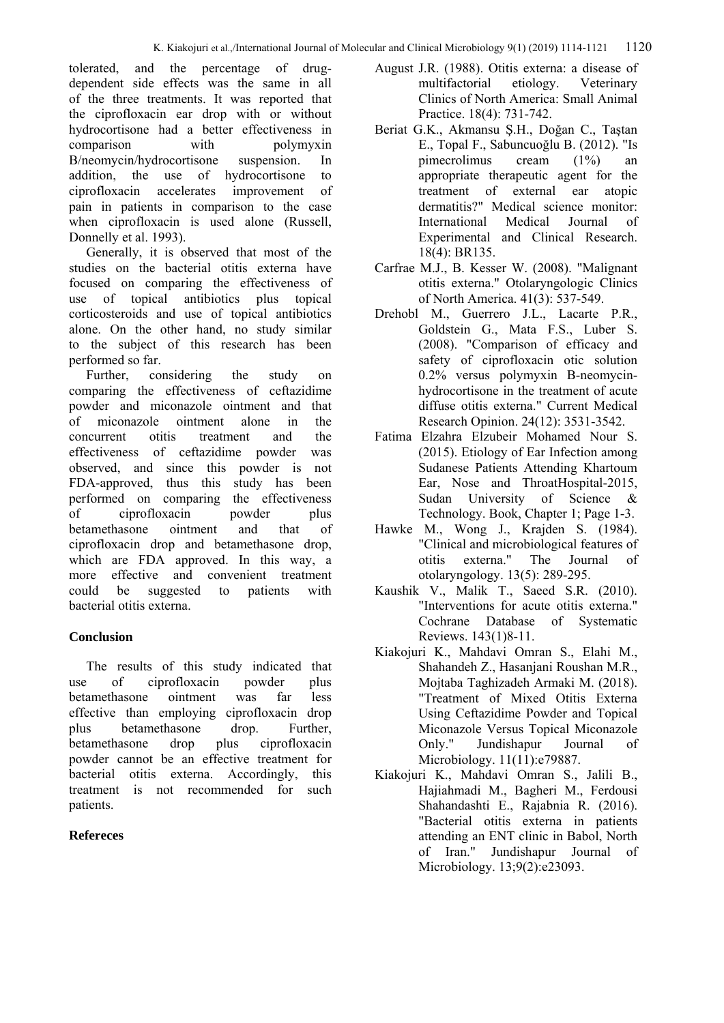tolerated, and the percentage of drugdependent side effects was the same in all of the three treatments. It was reported that the ciprofloxacin ear drop with or without hydrocortisone had a better effectiveness in comparison with polymyxin B/neomycin/hydrocortisone suspension. In addition, the use of hydrocortisone to ciprofloxacin accelerates improvement of pain in patients in comparison to the case when ciprofloxacin is used alone (Russell, Donnelly et al. 1993).

Generally, it is observed that most of the studies on the bacterial otitis externa have focused on comparing the effectiveness of use of topical antibiotics plus topical corticosteroids and use of topical antibiotics alone. On the other hand, no study similar to the subject of this research has been performed so far.

Further, considering the study on comparing the effectiveness of ceftazidime powder and miconazole ointment and that of miconazole ointment alone in the concurrent otitis treatment and the effectiveness of ceftazidime powder was observed, and since this powder is not FDA-approved, thus this study has been performed on comparing the effectiveness of ciprofloxacin powder plus betamethasone ointment and that of ciprofloxacin drop and betamethasone drop, which are FDA approved. In this way, a more effective and convenient treatment could be suggested to patients with bacterial otitis externa.

# **Conclusion**

The results of this study indicated that use of ciprofloxacin powder plus betamethasone ointment was far less effective than employing ciprofloxacin drop plus betamethasone drop. Further, betamethasone drop plus ciprofloxacin powder cannot be an effective treatment for bacterial otitis externa. Accordingly, this treatment is not recommended for such patients.

## **Refereces**

- August J.R. (1988). Otitis externa: a disease of multifactorial etiology. Veterinary Clinics of North America: Small Animal Practice. 18(4): 731-742.
- Beriat G.K., Akmansu Ş.H., Doğan C., Taştan E., Topal F., Sabuncuoğlu B. (2012). "Is pimecrolimus cream (1%) an appropriate therapeutic agent for the treatment of external ear atopic dermatitis?" Medical science monitor: International Medical Journal of Experimental and Clinical Research. 18(4): BR135.
- Carfrae M.J., B. Kesser W. (2008). "Malignant otitis externa." Otolaryngologic Clinics of North America. 41(3): 537-549.
- Drehobl M., Guerrero J.L., Lacarte P.R., Goldstein G., Mata F.S., Luber S. (2008). "Comparison of efficacy and safety of ciprofloxacin otic solution 0.2% versus polymyxin B-neomycinhydrocortisone in the treatment of acute diffuse otitis externa." Current Medical Research Opinion. 24(12): 3531-3542.
- Fatima Elzahra Elzubeir Mohamed Nour S. (2015). Etiology of Ear Infection among Sudanese Patients Attending Khartoum Ear, Nose and ThroatHospital-2015, Sudan University of Science & Technology. Book, Chapter 1; Page 1-3.
- Hawke M., Wong J., Krajden S. (1984). "Clinical and microbiological features of otitis externa." The Journal of otolaryngology. 13(5): 289-295.
- Kaushik V., Malik T., Saeed S.R. (2010). "Interventions for acute otitis externa." Cochrane Database of Systematic Reviews. 143(1)8-11.
- Kiakojuri K., Mahdavi Omran S., Elahi M., Shahandeh Z., Hasanjani Roushan M.R., Mojtaba Taghizadeh Armaki M. (2018). "Treatment of Mixed Otitis Externa Using Ceftazidime Powder and Topical Miconazole Versus Topical Miconazole Only." Jundishapur Journal of Microbiology. 11(11):e79887.
- Kiakojuri K., Mahdavi Omran S., Jalili B., Hajiahmadi M., Bagheri M., Ferdousi Shahandashti E., Rajabnia R. (2016). "Bacterial otitis externa in patients attending an ENT clinic in Babol, North of Iran." Jundishapur Journal of Microbiology. 13;9(2):e23093.